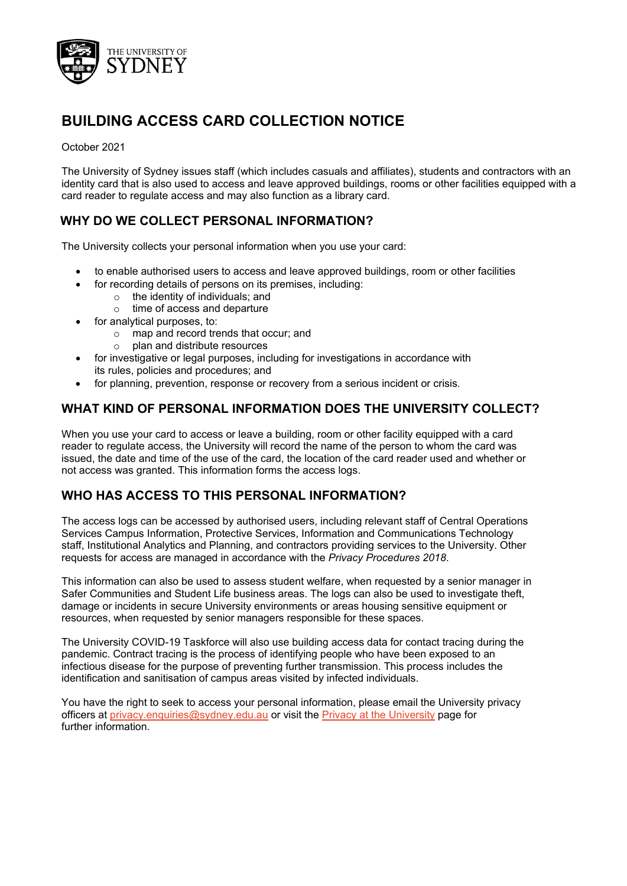

# **BUILDING ACCESS CARD COLLECTION NOTICE**

#### October 2021

The University of Sydney issues staff (which includes casuals and affiliates), students and contractors with an identity card that is also used to access and leave approved buildings, rooms or other facilities equipped with a card reader to regulate access and may also function as a library card.

# **WHY DO WE COLLECT PERSONAL INFORMATION?**

The University collects your personal information when you use your card:

- to enable authorised users to access and leave approved buildings, room or other facilities
- for recording details of persons on its premises, including:
	- o the identity of individuals; and
	- o time of access and departure
- for analytical purposes, to:
	- o map and record trends that occur; and
	- o plan and distribute resources
- for investigative or legal purposes, including for investigations in accordance with its rules, policies and procedures; and
- for planning, prevention, response or recovery from a serious incident or crisis.

#### **WHAT KIND OF PERSONAL INFORMATION DOES THE UNIVERSITY COLLECT?**

When you use your card to access or leave a building, room or other facility equipped with a card reader to regulate access, the University will record the name of the person to whom the card was issued, the date and time of the use of the card, the location of the card reader used and whether or not access was granted. This information forms the access logs.

# **WHO HAS ACCESS TO THIS PERSONAL INFORMATION?**

The access logs can be accessed by authorised users, including relevant staff of Central Operations Services Campus Information, Protective Services, Information and Communications Technology staff, Institutional Analytics and Planning, and contractors providing services to the University. Other requests for access are managed in accordance with the *Privacy Procedures 2018*.

This information can also be used to assess student welfare, when requested by a senior manager in Safer Communities and Student Life business areas. The logs can also be used to investigate theft, damage or incidents in secure University environments or areas housing sensitive equipment or resources, when requested by senior managers responsible for these spaces.

The University COVID-19 Taskforce will also use building access data for contact tracing during the pandemic. Contract tracing is the process of identifying people who have been exposed to an infectious disease for the purpose of preventing further transmission. This process includes the identification and sanitisation of campus areas visited by infected individuals.

You have the right to seek to access your personal information, please email the University privacy officers at [privacy.enquiries@sydney.edu.au](mailto:privacy.enquiries@sydney.edu.au) or visit the [Privacy at the](https://sydney.edu.au/about-us/governance-and-structure/privacy-and-university-information.html) University [page](https://sydney.edu.au/about-us/governance-and-structure/privacy-and-university-information.html) for further information.